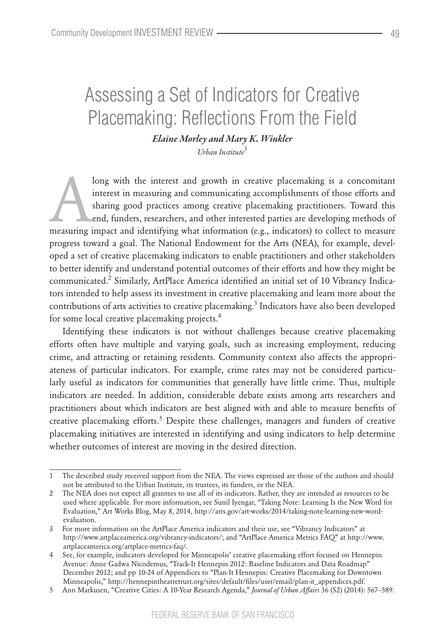# Assessing a Set of Indicators for Creative Placemaking: Reflections From the Field

*Elaine Morley and Mary K. Winkler Urban Institute*<sup>1</sup>

long with the interest and growth in creative placemaking is a concomitant<br>interest in measuring and communicating accomplishments of those efforts and<br>sharing good practices among creative placemaking practitioners. Towar interest in measuring and communicating accomplishments of those efforts and sharing good practices among creative placemaking practitioners. Toward this end, funders, researchers, and other interested parties are developing methods of measuring impact and identifying what information (e.g., indicators) to collect to measure progress toward a goal. The National Endowment for the Arts (NEA), for example, developed a set of creative placemaking indicators to enable practitioners and other stakeholders to better identify and understand potential outcomes of their efforts and how they might be communicated.<sup>2</sup> Similarly, ArtPlace America identified an initial set of 10 Vibrancy Indicators intended to help assess its investment in creative placemaking and learn more about the contributions of arts activities to creative placemaking.<sup>3</sup> Indicators have also been developed for some local creative placemaking projects.<sup>4</sup>

Identifying these indicators is not without challenges because creative placemaking efforts often have multiple and varying goals, such as increasing employment, reducing crime, and attracting or retaining residents. Community context also affects the appropriateness of particular indicators. For example, crime rates may not be considered particularly useful as indicators for communities that generally have little crime. Thus, multiple indicators are needed. In addition, considerable debate exists among arts researchers and practitioners about which indicators are best aligned with and able to measure benefits of creative placemaking efforts.<sup>5</sup> Despite these challenges, managers and funders of creative placemaking initiatives are interested in identifying and using indicators to help determine whether outcomes of interest are moving in the desired direction.

<sup>1</sup> The described study received support from the NEA. The views expressed are those of the authors and should not be attributed to the Urban Institute, its trustees, its funders, or the NEA.

<sup>2</sup> The NEA does not expect all grantees to use all of its indicators. Rather, they are intended as resources to be used where applicable. For more information, see Sunil Iyengar, "Taking Note: Learning Is the New Word for Evaluation," Art Works Blog, May 8, 2014, http://arts.gov/art-works/2014/taking-note-learning-new-wordevaluation.

<sup>3</sup> For more information on the ArtPlace America indicators and their use, see "Vibrancy Indicators" at http://www.artplaceamerica.org/vibrancy-indicators/; and "ArtPlace America Metrics FAQ" at http://www. artplaceamerica.org/artplace-metrics-faq/.

<sup>4</sup> See, for example, indicators developed for Minneapolis' creative placemaking effort focused on Hennepin Avenue: Anne Gadwa Nicodemus, "Track-It Hennepin 2012: Baseline Indicators and Data Roadmap" December 2012; and pp 10-24 of Appendices to "Plan-It Hennepin: Creative Placemaking for Downtown Minneapolis," http://hennepintheatretrust.org/sites/default/files/user/email/plan-it\_appendices.pdf.

<sup>5</sup> Ann Markusen, "Creative Cities: A 10-Year Research Agenda," *Journal of Urban Affairs* 36 (S2) (2014): 567–589.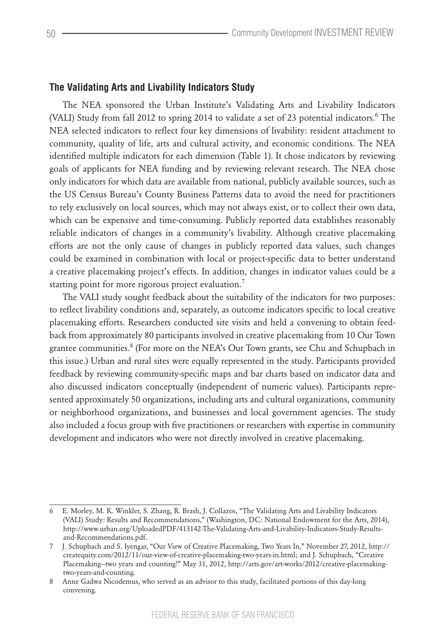## **The Validating Arts and Livability Indicators Study**

The NEA sponsored the Urban Institute's Validating Arts and Livability Indicators (VALI) Study from fall 2012 to spring 2014 to validate a set of 23 potential indicators.<sup>6</sup> The NEA selected indicators to reflect four key dimensions of livability: resident attachment to community, quality of life, arts and cultural activity, and economic conditions. The NEA identified multiple indicators for each dimension (Table 1). It chose indicators by reviewing goals of applicants for NEA funding and by reviewing relevant research. The NEA chose only indicators for which data are available from national, publicly available sources, such as the US Census Bureau's County Business Patterns data to avoid the need for practitioners to rely exclusively on local sources, which may not always exist, or to collect their own data, which can be expensive and time-consuming. Publicly reported data establishes reasonably reliable indicators of changes in a community's livability. Although creative placemaking efforts are not the only cause of changes in publicly reported data values, such changes could be examined in combination with local or project-specific data to better understand a creative placemaking project's effects. In addition, changes in indicator values could be a starting point for more rigorous project evaluation.<sup>7</sup>

The VALI study sought feedback about the suitability of the indicators for two purposes: to reflect livability conditions and, separately, as outcome indicators specific to local creative placemaking efforts. Researchers conducted site visits and held a convening to obtain feedback from approximately 80 participants involved in creative placemaking from 10 Our Town grantee communities.<sup>8</sup> (For more on the NEA's Our Town grants, see Chu and Schupbach in this issue.) Urban and rural sites were equally represented in the study. Participants provided feedback by reviewing community-specific maps and bar charts based on indicator data and also discussed indicators conceptually (independent of numeric values). Participants represented approximately 50 organizations, including arts and cultural organizations, community or neighborhood organizations, and businesses and local government agencies. The study also included a focus group with five practitioners or researchers with expertise in community development and indicators who were not directly involved in creative placemaking.

<sup>6</sup> E. Morley, M. K. Winkler, S. Zhang, R. Brash, J. Collazos, "The Validating Arts and Livability Indicators (VALI) Study: Results and Recommendations," (Washington, DC: National Endowment for the Arts, 2014), http://www.urban.org/UploadedPDF/413142-The-Validating-Arts-and-Livability-Indicators-Study-Resultsand-Recommendations.pdf.

<sup>7</sup> J. Schupbach and S. Iyengar, "Our View of Creative Placemaking, Two Years In," November 27, 2012, http:// createquity.com/2012/11/our-view-of-creative-placemaking-two-years-in.html; and J. Schupbach, "Creative Placemaking—two years and counting!" May 31, 2012, http://arts.gov/art-works/2012/creative-placemakingtwo-years-and-counting.

<sup>8</sup> Anne Gadwa Nicodemus, who served as an advisor to this study, facilitated portions of this day-long convening.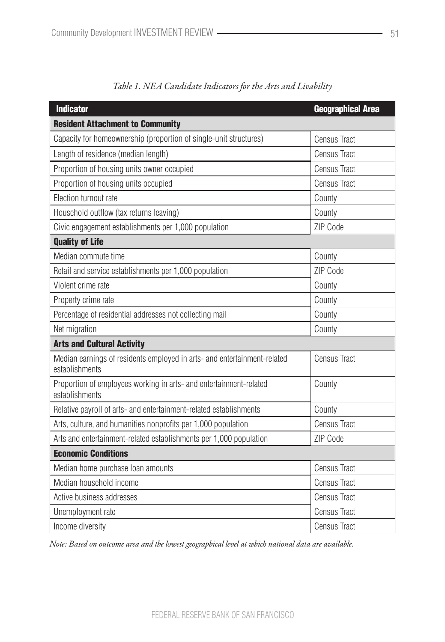| <b>Indicator</b>                                                                           | <b>Geographical Area</b> |  |
|--------------------------------------------------------------------------------------------|--------------------------|--|
| <b>Resident Attachment to Community</b>                                                    |                          |  |
| Capacity for homeownership (proportion of single-unit structures)                          | <b>Census Tract</b>      |  |
| Length of residence (median length)                                                        | <b>Census Tract</b>      |  |
| Proportion of housing units owner occupied                                                 | <b>Census Tract</b>      |  |
| Proportion of housing units occupied                                                       | <b>Census Tract</b>      |  |
| Election turnout rate                                                                      | County                   |  |
| Household outflow (tax returns leaving)                                                    | County                   |  |
| Civic engagement establishments per 1,000 population                                       | ZIP Code                 |  |
| <b>Quality of Life</b>                                                                     |                          |  |
| Median commute time                                                                        | County                   |  |
| Retail and service establishments per 1,000 population                                     | ZIP Code                 |  |
| Violent crime rate                                                                         | County                   |  |
| Property crime rate                                                                        | County                   |  |
| Percentage of residential addresses not collecting mail                                    | County                   |  |
| Net migration                                                                              | County                   |  |
| <b>Arts and Cultural Activity</b>                                                          |                          |  |
| Median earnings of residents employed in arts- and entertainment-related<br>establishments | <b>Census Tract</b>      |  |
| Proportion of employees working in arts- and entertainment-related<br>establishments       | County                   |  |
| Relative payroll of arts- and entertainment-related establishments                         | County                   |  |
| Arts, culture, and humanities nonprofits per 1,000 population                              | <b>Census Tract</b>      |  |
| Arts and entertainment-related establishments per 1,000 population                         | ZIP Code                 |  |
| <b>Economic Conditions</b>                                                                 |                          |  |
| Median home purchase loan amounts                                                          | <b>Census Tract</b>      |  |
| Median household income                                                                    | <b>Census Tract</b>      |  |
| Active business addresses                                                                  | <b>Census Tract</b>      |  |
| Unemployment rate                                                                          | <b>Census Tract</b>      |  |
| Income diversity                                                                           | <b>Census Tract</b>      |  |

| Table 1. NEA Candidate Indicators for the Arts and Livability |  |  |  |  |  |
|---------------------------------------------------------------|--|--|--|--|--|
|---------------------------------------------------------------|--|--|--|--|--|

*Note: Based on outcome area and the lowest geographical level at which national data are available.*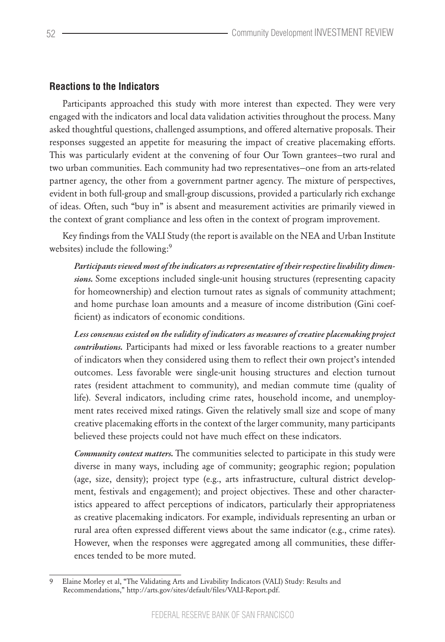## **Reactions to the Indicators**

Participants approached this study with more interest than expected. They were very engaged with the indicators and local data validation activities throughout the process. Many asked thoughtful questions, challenged assumptions, and offered alternative proposals. Their responses suggested an appetite for measuring the impact of creative placemaking efforts. This was particularly evident at the convening of four Our Town grantees—two rural and two urban communities. Each community had two representatives—one from an arts-related partner agency, the other from a government partner agency. The mixture of perspectives, evident in both full-group and small-group discussions, provided a particularly rich exchange of ideas. Often, such "buy in" is absent and measurement activities are primarily viewed in the context of grant compliance and less often in the context of program improvement.

Key findings from the VALI Study (the report is available on the NEA and Urban Institute websites) include the following:<sup>9</sup>

*Participants viewed most of the indicators as representative of their respective livability dimensions.* Some exceptions included single-unit housing structures (representing capacity for homeownership) and election turnout rates as signals of community attachment; and home purchase loan amounts and a measure of income distribution (Gini coefficient) as indicators of economic conditions.

*Less consensus existed on the validity of indicators as measures of creative placemaking project contributions.* Participants had mixed or less favorable reactions to a greater number of indicators when they considered using them to reflect their own project's intended outcomes. Less favorable were single-unit housing structures and election turnout rates (resident attachment to community), and median commute time (quality of life). Several indicators, including crime rates, household income, and unemployment rates received mixed ratings. Given the relatively small size and scope of many creative placemaking efforts in the context of the larger community, many participants believed these projects could not have much effect on these indicators.

*Community context matters.* The communities selected to participate in this study were diverse in many ways, including age of community; geographic region; population (age, size, density); project type (e.g., arts infrastructure, cultural district development, festivals and engagement); and project objectives. These and other characteristics appeared to affect perceptions of indicators, particularly their appropriateness as creative placemaking indicators. For example, individuals representing an urban or rural area often expressed different views about the same indicator (e.g., crime rates). However, when the responses were aggregated among all communities, these differences tended to be more muted.

<sup>9</sup> Elaine Morley et al, "The Validating Arts and Livability Indicators (VALI) Study: Results and Recommendations," http://arts.gov/sites/default/files/VALI-Report.pdf.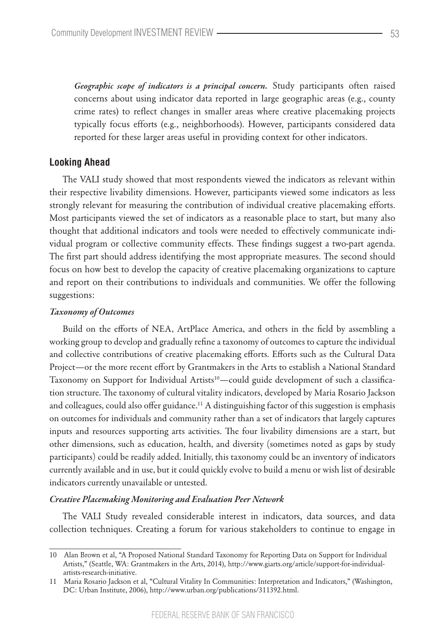*Geographic scope of indicators is a principal concern.* Study participants often raised concerns about using indicator data reported in large geographic areas (e.g., county crime rates) to reflect changes in smaller areas where creative placemaking projects typically focus efforts (e.g., neighborhoods). However, participants considered data reported for these larger areas useful in providing context for other indicators.

### **Looking Ahead**

The VALI study showed that most respondents viewed the indicators as relevant within their respective livability dimensions. However, participants viewed some indicators as less strongly relevant for measuring the contribution of individual creative placemaking efforts. Most participants viewed the set of indicators as a reasonable place to start, but many also thought that additional indicators and tools were needed to effectively communicate individual program or collective community effects. These findings suggest a two-part agenda. The first part should address identifying the most appropriate measures. The second should focus on how best to develop the capacity of creative placemaking organizations to capture and report on their contributions to individuals and communities. We offer the following suggestions:

#### *Taxonomy of Outcomes*

Build on the efforts of NEA, ArtPlace America, and others in the field by assembling a working group to develop and gradually refine a taxonomy of outcomes to capture the individual and collective contributions of creative placemaking efforts. Efforts such as the Cultural Data Project—or the more recent effort by Grantmakers in the Arts to establish a National Standard Taxonomy on Support for Individual Artists<sup>10</sup>—could guide development of such a classification structure. The taxonomy of cultural vitality indicators, developed by Maria Rosario Jackson and colleagues, could also offer guidance.<sup>11</sup> A distinguishing factor of this suggestion is emphasis on outcomes for individuals and community rather than a set of indicators that largely captures inputs and resources supporting arts activities. The four livability dimensions are a start, but other dimensions, such as education, health, and diversity (sometimes noted as gaps by study participants) could be readily added. Initially, this taxonomy could be an inventory of indicators currently available and in use, but it could quickly evolve to build a menu or wish list of desirable indicators currently unavailable or untested.

#### *Creative Placemaking Monitoring and Evaluation Peer Network*

The VALI Study revealed considerable interest in indicators, data sources, and data collection techniques. Creating a forum for various stakeholders to continue to engage in

<sup>10</sup> Alan Brown et al, "A Proposed National Standard Taxonomy for Reporting Data on Support for Individual Artists," (Seattle, WA: Grantmakers in the Arts, 2014), http://www.giarts.org/article/support-for-individualartists-research-initiative.

<sup>11</sup> Maria Rosario Jackson et al, "Cultural Vitality In Communities: Interpretation and Indicators," (Washington, DC: Urban Institute, 2006), http://www.urban.org/publications/311392.html.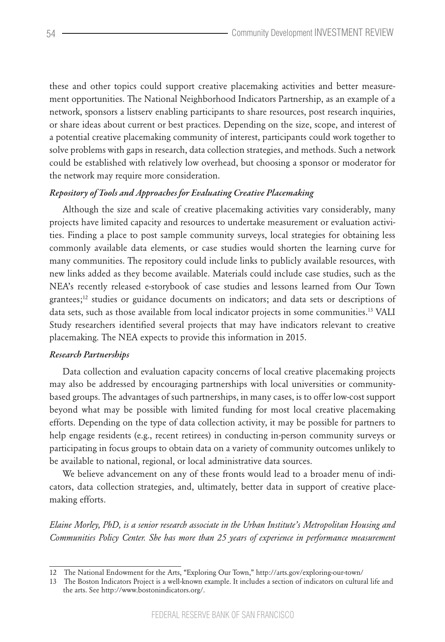these and other topics could support creative placemaking activities and better measurement opportunities. The National Neighborhood Indicators Partnership, as an example of a network, sponsors a listserv enabling participants to share resources, post research inquiries, or share ideas about current or best practices. Depending on the size, scope, and interest of a potential creative placemaking community of interest, participants could work together to solve problems with gaps in research, data collection strategies, and methods. Such a network could be established with relatively low overhead, but choosing a sponsor or moderator for the network may require more consideration.

#### *Repository of Tools and Approaches for Evaluating Creative Placemaking*

Although the size and scale of creative placemaking activities vary considerably, many projects have limited capacity and resources to undertake measurement or evaluation activities. Finding a place to post sample community surveys, local strategies for obtaining less commonly available data elements, or case studies would shorten the learning curve for many communities. The repository could include links to publicly available resources, with new links added as they become available. Materials could include case studies, such as the NEA's recently released e-storybook of case studies and lessons learned from Our Town grantees;12 studies or guidance documents on indicators; and data sets or descriptions of data sets, such as those available from local indicator projects in some communities.13 VALI Study researchers identified several projects that may have indicators relevant to creative placemaking. The NEA expects to provide this information in 2015.

#### *Research Partnerships*

Data collection and evaluation capacity concerns of local creative placemaking projects may also be addressed by encouraging partnerships with local universities or communitybased groups. The advantages of such partnerships, in many cases, is to offer low-cost support beyond what may be possible with limited funding for most local creative placemaking efforts. Depending on the type of data collection activity, it may be possible for partners to help engage residents (e.g., recent retirees) in conducting in-person community surveys or participating in focus groups to obtain data on a variety of community outcomes unlikely to be available to national, regional, or local administrative data sources.

We believe advancement on any of these fronts would lead to a broader menu of indicators, data collection strategies, and, ultimately, better data in support of creative placemaking efforts.

*Elaine Morley, PhD, is a senior research associate in the Urban Institute's Metropolitan Housing and Communities Policy Center. She has more than 25 years of experience in performance measurement* 

<sup>12</sup> The National Endowment for the Arts, "Exploring Our Town," http://arts.gov/exploring-our-town/

<sup>13</sup> The Boston Indicators Project is a well-known example. It includes a section of indicators on cultural life and the arts. See http://www.bostonindicators.org/.